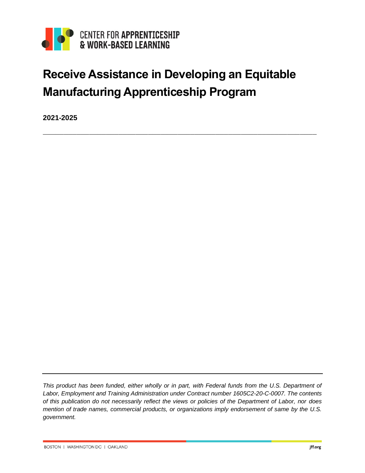

# **Receive Assistance in Developing an Equitable Manufacturing Apprenticeship Program**

 $\_$  , and the set of the set of the set of the set of the set of the set of the set of the set of the set of the set of the set of the set of the set of the set of the set of the set of the set of the set of the set of th

**2021-2025**

*This product has been funded, either wholly or in part, with Federal funds from the U.S. Department of Labor, Employment and Training Administration under Contract number 1605C2-20-C-0007. The contents of this publication do not necessarily reflect the views or policies of the Department of Labor, nor does mention of trade names, commercial products, or organizations imply endorsement of same by the U.S. government.*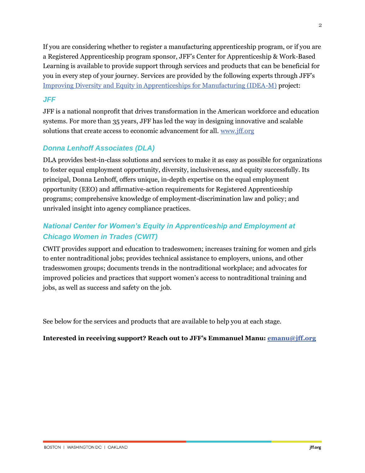If you are considering whether to register a manufacturing apprenticeship program, or if you are a Registered Apprenticeship program sponsor, JFF's Center for Apprenticeship & Work-Based Learning is available to provide support through services and products that can be beneficial for you in every step of your journey. Services are provided by the following experts through JFF's [Improving Diversity and Equity in Apprenticeships for Manufacturing \(IDEA-M\)](https://www.jff.org/what-we-do/impact-stories/center-for-apprenticeship-and-work-based-learning/our-work/improving-diversity-equity-manufacturing-apprenticeships/) project:

#### *JFF*

JFF is a national nonprofit that drives transformation in the American workforce and education systems. For more than 35 years, JFF has led the way in designing innovative and scalable solutions that create access to economic advancement for all. [www.jff.org](http://www.jff.org/)

#### *Donna Lenhoff Associates (DLA)*

DLA provides best-in-class solutions and services to make it as easy as possible for organizations to foster equal employment opportunity, diversity, inclusiveness, and equity successfully. Its principal, Donna Lenhoff, offers unique, in-depth expertise on the equal employment opportunity (EEO) and affirmative-action requirements for Registered Apprenticeship programs; comprehensive knowledge of employment-discrimination law and policy; and unrivaled insight into agency compliance practices.

### *National Center for Women's Equity in Apprenticeship and Employment at Chicago Women in Trades (CWIT)*

CWIT provides support and education to tradeswomen; increases training for women and girls to enter nontraditional jobs; provides technical assistance to employers, unions, and other tradeswomen groups; documents trends in the nontraditional workplace; and advocates for improved policies and practices that support women's access to nontraditional training and jobs, as well as success and safety on the job.

See below for the services and products that are available to help you at each stage.

#### **Interested in receiving support? Reach out to JFF's Emmanuel Manu: [emanu@jff.org](mailto:emanu@jff.org)**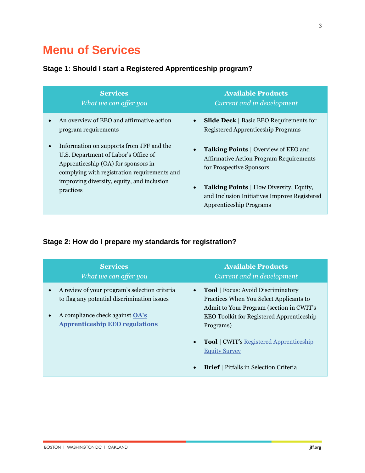## **Menu of Services**

#### **Stage 1: Should I start a Registered Apprenticeship program?**

| <b>Services</b><br>What we can offer you                                                                                                                                                                                                        | <b>Available Products</b><br>Current and in development                                                                                                                                                                                                |
|-------------------------------------------------------------------------------------------------------------------------------------------------------------------------------------------------------------------------------------------------|--------------------------------------------------------------------------------------------------------------------------------------------------------------------------------------------------------------------------------------------------------|
| An overview of EEO and affirmative action<br>$\bullet$<br>program requirements                                                                                                                                                                  | <b>Slide Deck</b>   Basic EEO Requirements for<br><b>Registered Apprenticeship Programs</b>                                                                                                                                                            |
| Information on supports from JFF and the<br>$\bullet$<br>U.S. Department of Labor's Office of<br>Apprenticeship (OA) for sponsors in<br>complying with registration requirements and<br>improving diversity, equity, and inclusion<br>practices | <b>Talking Points</b>   Overview of EEO and<br><b>Affirmative Action Program Requirements</b><br>for Prospective Sponsors<br>Talking Points   How Diversity, Equity,<br>and Inclusion Initiatives Improve Registered<br><b>Apprenticeship Programs</b> |

## **Stage 2: How do I prepare my standards for registration?**

| <b>Services</b><br>What we can offer you                                                                                                                                        | <b>Available Products</b><br>Current and in development                                                                                                                                                                                                                                               |
|---------------------------------------------------------------------------------------------------------------------------------------------------------------------------------|-------------------------------------------------------------------------------------------------------------------------------------------------------------------------------------------------------------------------------------------------------------------------------------------------------|
| A review of your program's selection criteria<br>to flag any potential discrimination issues<br>A compliance check against <b>OA's</b><br><b>Apprenticeship EEO regulations</b> | <b>Tool</b>   Focus: Avoid Discriminatory<br>$\bullet$<br>Practices When You Select Applicants to<br>Admit to Your Program (section in CWIT's<br><b>EEO Toolkit for Registered Apprenticeship</b><br>Programs)<br><b>Tool</b>   CWIT's Registered Apprenticeship<br>$\bullet$<br><b>Equity Survey</b> |
|                                                                                                                                                                                 | <b>Brief</b>   Pitfalls in Selection Criteria<br>$\bullet$                                                                                                                                                                                                                                            |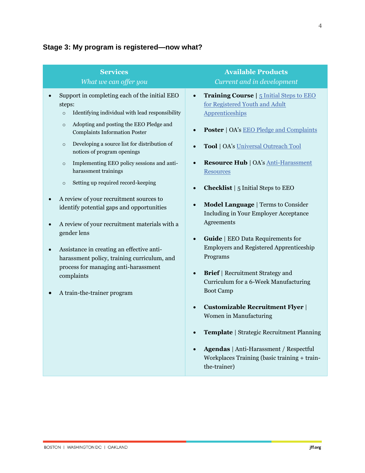## **Stage 3: My program is registered—now what?**

| <b>Services</b>                                                                                                                                                                                                                                                                                                                                                                                                                                                                                                                                                                                                                                                                                                                                                                                       | <b>Available Products</b>                                                                                                                                                                                                                                                                                                                                                                                                                                                                                                                                                                                                                                                                                                                                                                                                                                                                                               |
|-------------------------------------------------------------------------------------------------------------------------------------------------------------------------------------------------------------------------------------------------------------------------------------------------------------------------------------------------------------------------------------------------------------------------------------------------------------------------------------------------------------------------------------------------------------------------------------------------------------------------------------------------------------------------------------------------------------------------------------------------------------------------------------------------------|-------------------------------------------------------------------------------------------------------------------------------------------------------------------------------------------------------------------------------------------------------------------------------------------------------------------------------------------------------------------------------------------------------------------------------------------------------------------------------------------------------------------------------------------------------------------------------------------------------------------------------------------------------------------------------------------------------------------------------------------------------------------------------------------------------------------------------------------------------------------------------------------------------------------------|
| What we can offer you                                                                                                                                                                                                                                                                                                                                                                                                                                                                                                                                                                                                                                                                                                                                                                                 | Current and in development                                                                                                                                                                                                                                                                                                                                                                                                                                                                                                                                                                                                                                                                                                                                                                                                                                                                                              |
| Support in completing each of the initial EEO<br>steps:<br>Identifying individual with lead responsibility<br>$\circ$<br>Adopting and posting the EEO Pledge and<br>$\circ$<br><b>Complaints Information Poster</b><br>Developing a source list for distribution of<br>$\circ$<br>notices of program openings<br>Implementing EEO policy sessions and anti-<br>$\circ$<br>harassment trainings<br>Setting up required record-keeping<br>$\circ$<br>A review of your recruitment sources to<br>identify potential gaps and opportunities<br>A review of your recruitment materials with a<br>gender lens<br>Assistance in creating an effective anti-<br>$\bullet$<br>harassment policy, training curriculum, and<br>process for managing anti-harassment<br>complaints<br>A train-the-trainer program | Training Course   5 Initial Steps to EEO<br>$\bullet$<br>for Registered Youth and Adult<br>Apprenticeships<br><b>Poster</b>   OA's <b>EEO</b> Pledge and Complaints<br>Tool   OA's Universal Outreach Tool<br><b>Resource Hub   OA's Anti-Harassment</b><br><b>Resources</b><br><b>Checklist</b>   5 Initial Steps to EEO<br><b>Model Language</b>   Terms to Consider<br><b>Including in Your Employer Acceptance</b><br>Agreements<br><b>Guide</b>   EEO Data Requirements for<br>$\bullet$<br><b>Employers and Registered Apprenticeship</b><br>Programs<br><b>Brief</b>   Recruitment Strategy and<br>$\bullet$<br>Curriculum for a 6-Week Manufacturing<br><b>Boot Camp</b><br><b>Customizable Recruitment Flyer</b><br>$\bullet$<br>Women in Manufacturing<br>Template   Strategic Recruitment Planning<br>Agendas   Anti-Harassment / Respectful<br>Workplaces Training (basic training + train-<br>the-trainer) |